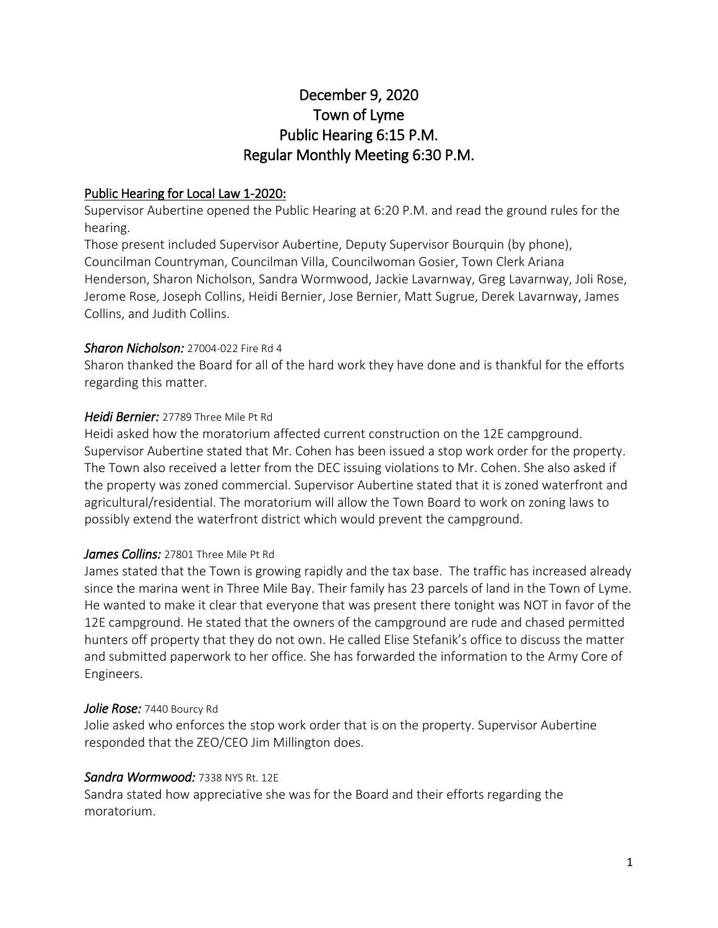# December 9, 2020 Town of Lyme Public Hearing 6:15 P.M. Regular Monthly Meeting 6:30 P.M.

#### Public Hearing for Local Law 1-2020:

Supervisor Aubertine opened the Public Hearing at 6:20 P.M. and read the ground rules for the hearing.

Those present included Supervisor Aubertine, Deputy Supervisor Bourquin (by phone), Councilman Countryman, Councilman Villa, Councilwoman Gosier, Town Clerk Ariana Henderson, Sharon Nicholson, Sandra Wormwood, Jackie Lavarnway, Greg Lavarnway, Joli Rose, Jerome Rose, Joseph Collins, Heidi Bernier, Jose Bernier, Matt Sugrue, Derek Lavarnway, James Collins, and Judith Collins.

#### *Sharon Nicholson:* 27004-022 Fire Rd 4

Sharon thanked the Board for all of the hard work they have done and is thankful for the efforts regarding this matter.

#### *Heidi Bernier:* 27789 Three Mile Pt Rd

Heidi asked how the moratorium affected current construction on the 12E campground. Supervisor Aubertine stated that Mr. Cohen has been issued a stop work order for the property. The Town also received a letter from the DEC issuing violations to Mr. Cohen. She also asked if the property was zoned commercial. Supervisor Aubertine stated that it is zoned waterfront and agricultural/residential. The moratorium will allow the Town Board to work on zoning laws to possibly extend the waterfront district which would prevent the campground.

#### *James Collins:* 27801 Three Mile Pt Rd

James stated that the Town is growing rapidly and the tax base. The traffic has increased already since the marina went in Three Mile Bay. Their family has 23 parcels of land in the Town of Lyme. He wanted to make it clear that everyone that was present there tonight was NOT in favor of the 12E campground. He stated that the owners of the campground are rude and chased permitted hunters off property that they do not own. He called Elise Stefanik's office to discuss the matter and submitted paperwork to her office. She has forwarded the information to the Army Core of Engineers.

#### *Jolie Rose:* 7440 Bourcy Rd

Jolie asked who enforces the stop work order that is on the property. Supervisor Aubertine responded that the ZEO/CEO Jim Millington does.

#### *Sandra Wormwood:* 7338 NYS Rt. 12E

Sandra stated how appreciative she was for the Board and their efforts regarding the moratorium.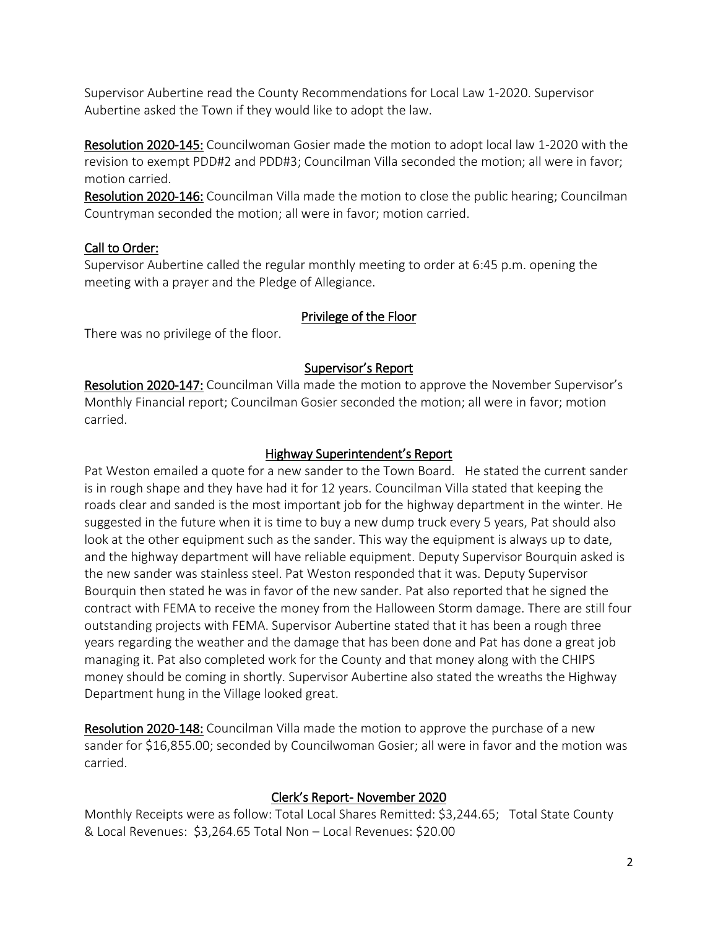Supervisor Aubertine read the County Recommendations for Local Law 1-2020. Supervisor Aubertine asked the Town if they would like to adopt the law.

Resolution 2020-145: Councilwoman Gosier made the motion to adopt local law 1-2020 with the revision to exempt PDD#2 and PDD#3; Councilman Villa seconded the motion; all were in favor; motion carried.

Resolution 2020-146: Councilman Villa made the motion to close the public hearing; Councilman Countryman seconded the motion; all were in favor; motion carried.

# Call to Order:

Supervisor Aubertine called the regular monthly meeting to order at 6:45 p.m. opening the meeting with a prayer and the Pledge of Allegiance.

# Privilege of the Floor

There was no privilege of the floor.

# Supervisor's Report

Resolution 2020-147: Councilman Villa made the motion to approve the November Supervisor's Monthly Financial report; Councilman Gosier seconded the motion; all were in favor; motion carried.

# Highway Superintendent's Report

Pat Weston emailed a quote for a new sander to the Town Board. He stated the current sander is in rough shape and they have had it for 12 years. Councilman Villa stated that keeping the roads clear and sanded is the most important job for the highway department in the winter. He suggested in the future when it is time to buy a new dump truck every 5 years, Pat should also look at the other equipment such as the sander. This way the equipment is always up to date, and the highway department will have reliable equipment. Deputy Supervisor Bourquin asked is the new sander was stainless steel. Pat Weston responded that it was. Deputy Supervisor Bourquin then stated he was in favor of the new sander. Pat also reported that he signed the contract with FEMA to receive the money from the Halloween Storm damage. There are still four outstanding projects with FEMA. Supervisor Aubertine stated that it has been a rough three years regarding the weather and the damage that has been done and Pat has done a great job managing it. Pat also completed work for the County and that money along with the CHIPS money should be coming in shortly. Supervisor Aubertine also stated the wreaths the Highway Department hung in the Village looked great.

Resolution 2020-148: Councilman Villa made the motion to approve the purchase of a new sander for \$16,855.00; seconded by Councilwoman Gosier; all were in favor and the motion was carried.

# Clerk's Report- November 2020

Monthly Receipts were as follow: Total Local Shares Remitted: \$3,244.65; Total State County & Local Revenues: \$3,264.65 Total Non – Local Revenues: \$20.00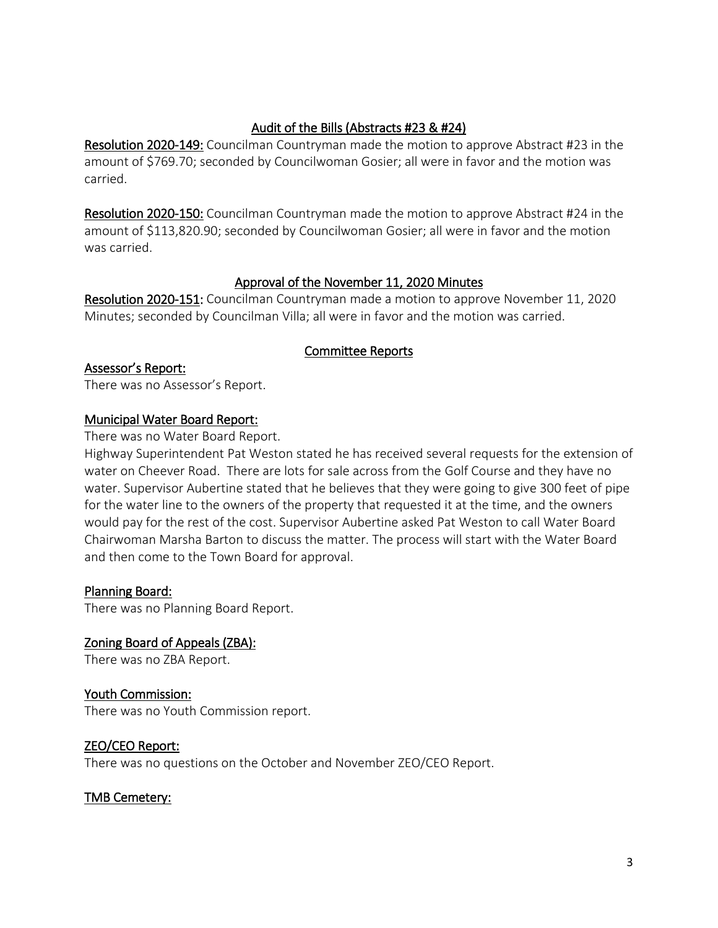# Audit of the Bills (Abstracts #23 & #24)

Resolution 2020-149: Councilman Countryman made the motion to approve Abstract #23 in the amount of \$769.70; seconded by Councilwoman Gosier; all were in favor and the motion was carried.

Resolution 2020-150: Councilman Countryman made the motion to approve Abstract #24 in the amount of \$113,820.90; seconded by Councilwoman Gosier; all were in favor and the motion was carried.

## Approval of the November 11, 2020 Minutes

Resolution 2020-151: Councilman Countryman made a motion to approve November 11, 2020 Minutes; seconded by Councilman Villa; all were in favor and the motion was carried.

## Committee Reports

#### Assessor's Report:

There was no Assessor's Report.

#### Municipal Water Board Report:

There was no Water Board Report.

Highway Superintendent Pat Weston stated he has received several requests for the extension of water on Cheever Road. There are lots for sale across from the Golf Course and they have no water. Supervisor Aubertine stated that he believes that they were going to give 300 feet of pipe for the water line to the owners of the property that requested it at the time, and the owners would pay for the rest of the cost. Supervisor Aubertine asked Pat Weston to call Water Board Chairwoman Marsha Barton to discuss the matter. The process will start with the Water Board and then come to the Town Board for approval.

#### Planning Board:

There was no Planning Board Report.

Zoning Board of Appeals (ZBA): There was no ZBA Report.

## Youth Commission:

There was no Youth Commission report.

## ZEO/CEO Report:

There was no questions on the October and November ZEO/CEO Report.

## TMB Cemetery: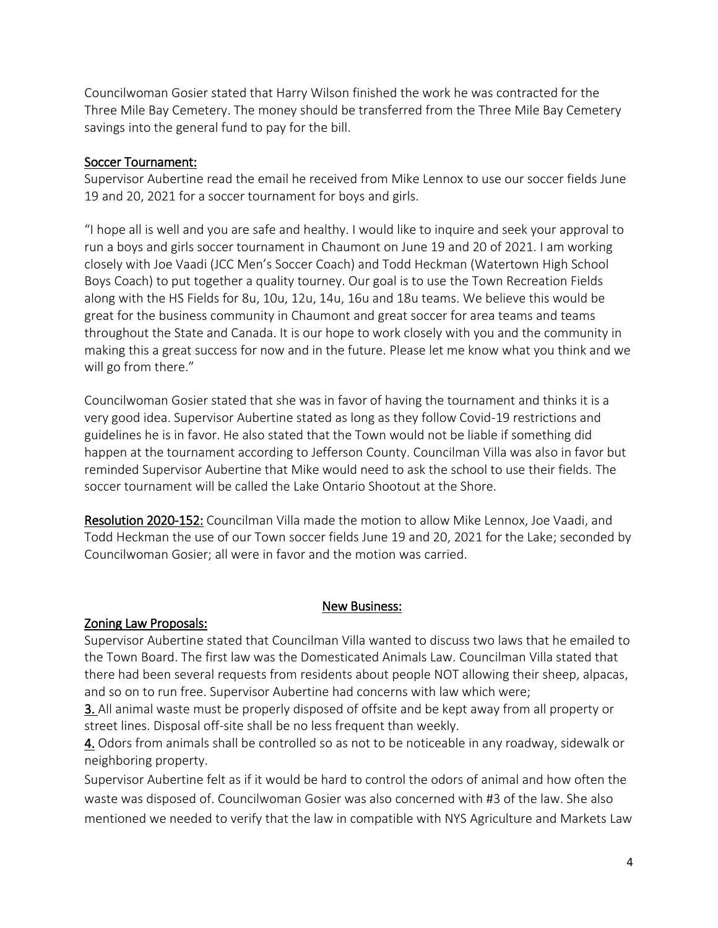Councilwoman Gosier stated that Harry Wilson finished the work he was contracted for the Three Mile Bay Cemetery. The money should be transferred from the Three Mile Bay Cemetery savings into the general fund to pay for the bill.

## Soccer Tournament:

Supervisor Aubertine read the email he received from Mike Lennox to use our soccer fields June 19 and 20, 2021 for a soccer tournament for boys and girls.

"I hope all is well and you are safe and healthy. I would like to inquire and seek your approval to run a boys and girls soccer tournament in Chaumont on June 19 and 20 of 2021. I am working closely with Joe Vaadi (JCC Men's Soccer Coach) and Todd Heckman (Watertown High School Boys Coach) to put together a quality tourney. Our goal is to use the Town Recreation Fields along with the HS Fields for 8u, 10u, 12u, 14u, 16u and 18u teams. We believe this would be great for the business community in Chaumont and great soccer for area teams and teams throughout the State and Canada. It is our hope to work closely with you and the community in making this a great success for now and in the future. Please let me know what you think and we will go from there."

Councilwoman Gosier stated that she was in favor of having the tournament and thinks it is a very good idea. Supervisor Aubertine stated as long as they follow Covid-19 restrictions and guidelines he is in favor. He also stated that the Town would not be liable if something did happen at the tournament according to Jefferson County. Councilman Villa was also in favor but reminded Supervisor Aubertine that Mike would need to ask the school to use their fields. The soccer tournament will be called the Lake Ontario Shootout at the Shore.

Resolution 2020-152: Councilman Villa made the motion to allow Mike Lennox, Joe Vaadi, and Todd Heckman the use of our Town soccer fields June 19 and 20, 2021 for the Lake; seconded by Councilwoman Gosier; all were in favor and the motion was carried.

## New Business:

# Zoning Law Proposals:

Supervisor Aubertine stated that Councilman Villa wanted to discuss two laws that he emailed to the Town Board. The first law was the Domesticated Animals Law. Councilman Villa stated that there had been several requests from residents about people NOT allowing their sheep, alpacas, and so on to run free. Supervisor Aubertine had concerns with law which were;

[3. A](https://ecode360.com/30839957#30839957)ll animal waste must be properly disposed of offsite and be kept away from all property or street lines. Disposal off-site shall be no less frequent than weekly.

[4.](https://ecode360.com/30839958#30839958) Odors from animals shall be controlled so as not to be noticeable in any roadway, sidewalk or neighboring property.

Supervisor Aubertine felt as if it would be hard to control the odors of animal and how often the waste was disposed of. Councilwoman Gosier was also concerned with #3 of the law. She also mentioned we needed to verify that the law in compatible with NYS Agriculture and Markets Law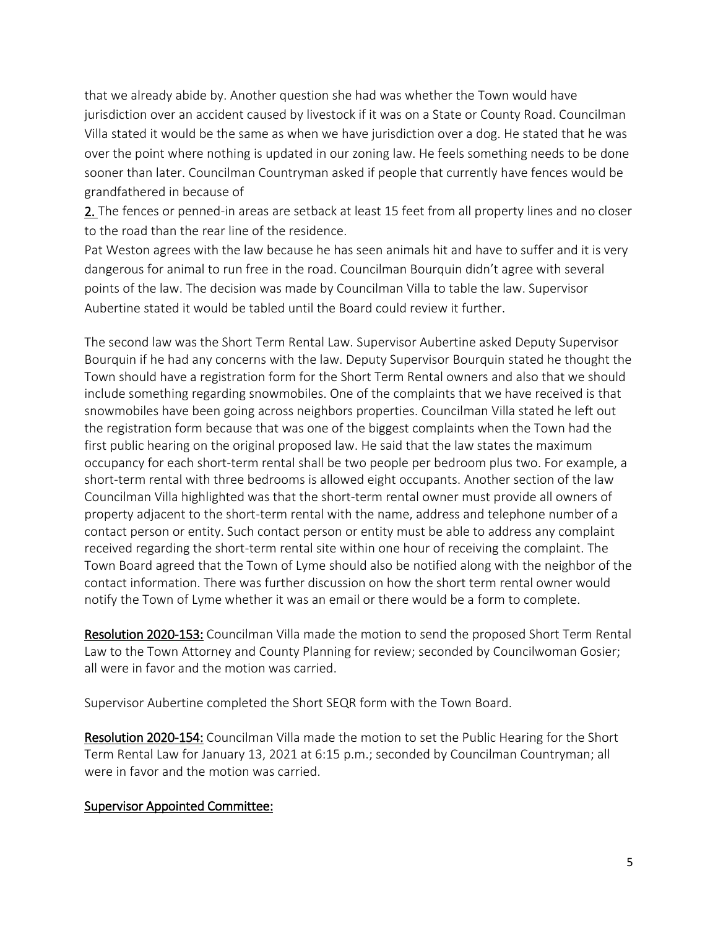that we already abide by. Another question she had was whether the Town would have jurisdiction over an accident caused by livestock if it was on a State or County Road. Councilman Villa stated it would be the same as when we have jurisdiction over a dog. He stated that he was over the point where nothing is updated in our zoning law. He feels something needs to be done sooner than later. Councilman Countryman asked if people that currently have fences would be grandfathered in because of

[2. T](https://ecode360.com/30839956#30839956)he fences or penned-in areas are setback at least 15 feet from all property lines and no closer to the road than the rear line of the residence.

Pat Weston agrees with the law because he has seen animals hit and have to suffer and it is very dangerous for animal to run free in the road. Councilman Bourquin didn't agree with several points of the law. The decision was made by Councilman Villa to table the law. Supervisor Aubertine stated it would be tabled until the Board could review it further.

The second law was the Short Term Rental Law. Supervisor Aubertine asked Deputy Supervisor Bourquin if he had any concerns with the law. Deputy Supervisor Bourquin stated he thought the Town should have a registration form for the Short Term Rental owners and also that we should include something regarding snowmobiles. One of the complaints that we have received is that snowmobiles have been going across neighbors properties. Councilman Villa stated he left out the registration form because that was one of the biggest complaints when the Town had the first public hearing on the original proposed law. He said that the law states the maximum occupancy for each short-term rental shall be two people per bedroom plus two. For example, a short-term rental with three bedrooms is allowed eight occupants. Another section of the law Councilman Villa highlighted was that the short-term rental owner must provide all owners of property adjacent to the short-term rental with the name, address and telephone number of a contact person or entity. Such contact person or entity must be able to address any complaint received regarding the short-term rental site within one hour of receiving the complaint. The Town Board agreed that the Town of Lyme should also be notified along with the neighbor of the contact information. There was further discussion on how the short term rental owner would notify the Town of Lyme whether it was an email or there would be a form to complete.

Resolution 2020-153: Councilman Villa made the motion to send the proposed Short Term Rental Law to the Town Attorney and County Planning for review; seconded by Councilwoman Gosier; all were in favor and the motion was carried.

Supervisor Aubertine completed the Short SEQR form with the Town Board.

Resolution 2020-154: Councilman Villa made the motion to set the Public Hearing for the Short Term Rental Law for January 13, 2021 at 6:15 p.m.; seconded by Councilman Countryman; all were in favor and the motion was carried.

#### Supervisor Appointed Committee: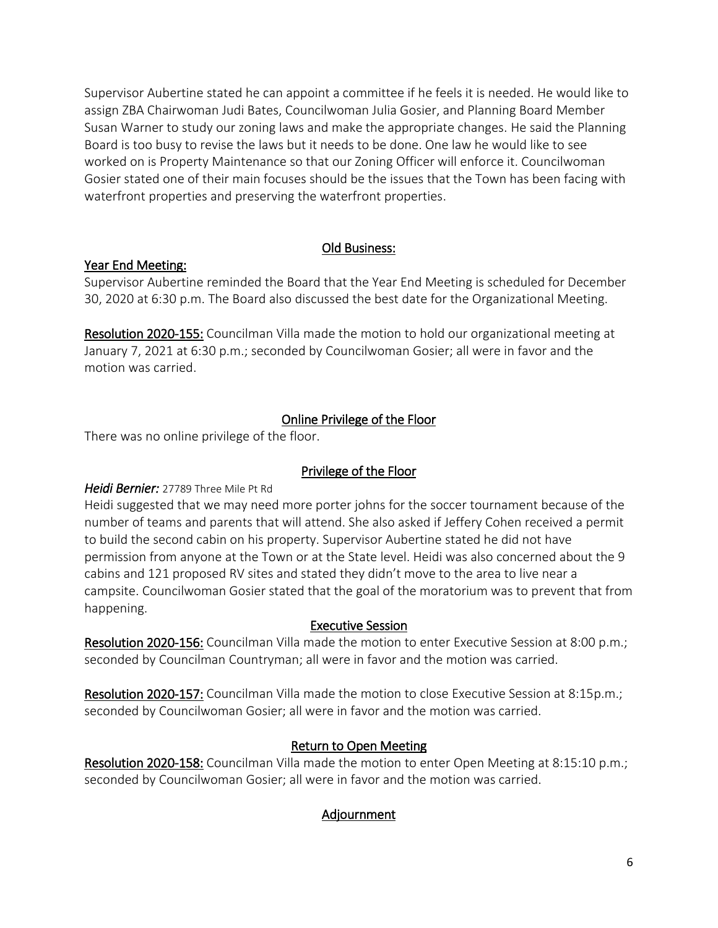Supervisor Aubertine stated he can appoint a committee if he feels it is needed. He would like to assign ZBA Chairwoman Judi Bates, Councilwoman Julia Gosier, and Planning Board Member Susan Warner to study our zoning laws and make the appropriate changes. He said the Planning Board is too busy to revise the laws but it needs to be done. One law he would like to see worked on is Property Maintenance so that our Zoning Officer will enforce it. Councilwoman Gosier stated one of their main focuses should be the issues that the Town has been facing with waterfront properties and preserving the waterfront properties.

## Old Business:

# Year End Meeting:

Supervisor Aubertine reminded the Board that the Year End Meeting is scheduled for December 30, 2020 at 6:30 p.m. The Board also discussed the best date for the Organizational Meeting.

Resolution 2020-155: Councilman Villa made the motion to hold our organizational meeting at January 7, 2021 at 6:30 p.m.; seconded by Councilwoman Gosier; all were in favor and the motion was carried.

# Online Privilege of the Floor

There was no online privilege of the floor.

# Privilege of the Floor

# *Heidi Bernier:* 27789 Three Mile Pt Rd

Heidi suggested that we may need more porter johns for the soccer tournament because of the number of teams and parents that will attend. She also asked if Jeffery Cohen received a permit to build the second cabin on his property. Supervisor Aubertine stated he did not have permission from anyone at the Town or at the State level. Heidi was also concerned about the 9 cabins and 121 proposed RV sites and stated they didn't move to the area to live near a campsite. Councilwoman Gosier stated that the goal of the moratorium was to prevent that from happening.

## Executive Session

Resolution 2020-156: Councilman Villa made the motion to enter Executive Session at 8:00 p.m.; seconded by Councilman Countryman; all were in favor and the motion was carried.

Resolution 2020-157: Councilman Villa made the motion to close Executive Session at 8:15p.m.; seconded by Councilwoman Gosier; all were in favor and the motion was carried.

# Return to Open Meeting

Resolution 2020-158: Councilman Villa made the motion to enter Open Meeting at 8:15:10 p.m.; seconded by Councilwoman Gosier; all were in favor and the motion was carried.

# Adjournment